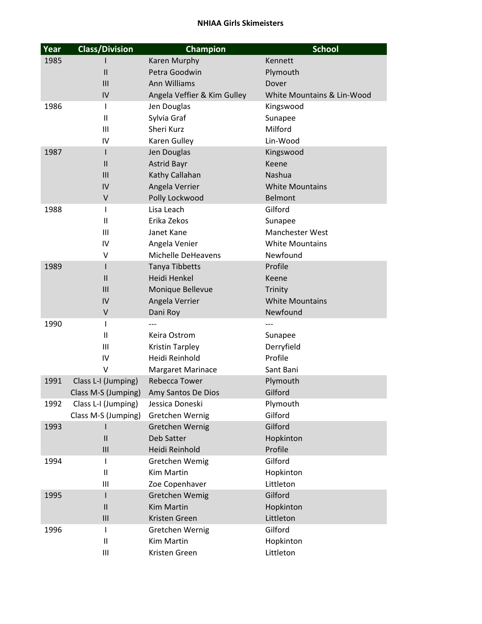| Year | <b>Class/Division</b>      | Champion                    | <b>School</b>                     |
|------|----------------------------|-----------------------------|-----------------------------------|
| 1985 |                            | Karen Murphy                | Kennett                           |
|      | $\mathsf{II}$              | Petra Goodwin               | Plymouth                          |
|      | III                        | <b>Ann Williams</b>         | Dover                             |
|      | IV                         | Angela Veffier & Kim Gulley | White Mountains & Lin-Wood        |
| 1986 | $\mathsf{I}$               | Jen Douglas                 | Kingswood                         |
|      | $\mathbf{H}$               | Sylvia Graf                 | Sunapee                           |
|      | Ш                          | Sheri Kurz                  | Milford                           |
|      | IV                         | Karen Gulley                | Lin-Wood                          |
| 1987 | L                          | Jen Douglas                 | Kingswood                         |
|      | $\mathsf{II}$              | <b>Astrid Bayr</b>          | Keene                             |
|      | III                        | Kathy Callahan              | Nashua                            |
|      | IV                         | Angela Verrier              | <b>White Mountains</b>            |
|      | $\sf V$                    | Polly Lockwood              | <b>Belmont</b>                    |
| 1988 | $\mathbf{I}$               | Lisa Leach                  | Gilford                           |
|      | $\mathbf{H}$               | Erika Zekos                 | Sunapee                           |
|      | Ш                          | Janet Kane                  | <b>Manchester West</b>            |
|      | IV                         | Angela Venier               | <b>White Mountains</b>            |
|      | V                          | Michelle DeHeavens          | Newfound                          |
| 1989 | L                          | Tanya Tibbetts              | Profile                           |
|      | $\mathsf{II}$              | Heidi Henkel                | Keene                             |
|      | III                        | Monique Bellevue            | Trinity<br><b>White Mountains</b> |
|      | IV<br>V                    | Angela Verrier              | Newfound                          |
| 1990 | I                          | Dani Roy                    |                                   |
|      | $\mathbf{H}$               | Keira Ostrom                | Sunapee                           |
|      | Ш                          | <b>Kristin Tarpley</b>      | Derryfield                        |
|      | IV                         | Heidi Reinhold              | Profile                           |
|      | v                          | <b>Margaret Marinace</b>    | Sant Bani                         |
| 1991 | Class L-I (Jumping)        | <b>Rebecca Tower</b>        | Plymouth                          |
|      | Class M-S (Jumping)        | Amy Santos De Dios          | Gilford                           |
| 1992 | Class L-I (Jumping)        | Jessica Doneski             | Plymouth                          |
|      | Class M-S (Jumping)        | Gretchen Wernig             | Gilford                           |
| 1993 |                            | Gretchen Wernig             | Gilford                           |
|      | $\mathsf{II}$              | Deb Satter                  | Hopkinton                         |
|      | III                        | Heidi Reinhold              | Profile                           |
| 1994 | I                          | Gretchen Wemig              | Gilford                           |
|      | $\sf II$                   | <b>Kim Martin</b>           | Hopkinton                         |
|      | Ш                          | Zoe Copenhaver              | Littleton                         |
| 1995 | ı                          | Gretchen Wemig              | Gilford                           |
|      | $\mathsf{II}$              | Kim Martin                  | Hopkinton                         |
|      | III                        | Kristen Green               | Littleton                         |
| 1996 | $\mathsf{I}$               | Gretchen Wernig             | Gilford                           |
|      | $\ensuremath{\mathsf{II}}$ | Kim Martin                  | Hopkinton                         |
|      | Ш                          | Kristen Green               | Littleton                         |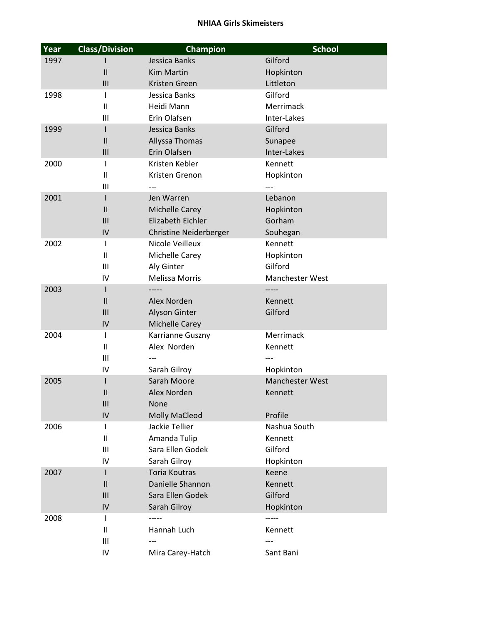| Year | <b>Class/Division</b> | Champion                            | <b>School</b>          |
|------|-----------------------|-------------------------------------|------------------------|
| 1997 |                       | Jessica Banks                       | Gilford                |
|      | $\mathsf{I}$          | <b>Kim Martin</b>                   | Hopkinton              |
|      | Ш                     | Kristen Green                       | Littleton              |
| 1998 | L                     | Jessica Banks                       | Gilford                |
|      | Ш                     | Heidi Mann                          | Merrimack              |
|      | Ш                     | Erin Olafsen                        | Inter-Lakes            |
| 1999 | L                     | Jessica Banks                       | Gilford                |
|      | $\mathbf{II}$         | Allyssa Thomas                      | Sunapee                |
|      | III                   | Erin Olafsen                        | Inter-Lakes            |
| 2000 | $\mathsf{I}$          | Kristen Kebler                      | Kennett                |
|      | Ш                     | Kristen Grenon                      | Hopkinton              |
|      | Ш                     |                                     |                        |
| 2001 |                       | Jen Warren                          | Lebanon                |
|      | $\mathsf{II}$         | Michelle Carey<br>Elizabeth Eichler | Hopkinton<br>Gorham    |
|      | III<br>IV             | <b>Christine Neiderberger</b>       | Souhegan               |
| 2002 | $\mathsf{I}$          | Nicole Veilleux                     | Kennett                |
|      | Ш                     | Michelle Carey                      | Hopkinton              |
|      | III                   | Aly Ginter                          | Gilford                |
|      | IV                    | <b>Melissa Morris</b>               | Manchester West        |
| 2003 | L                     |                                     |                        |
|      | $\mathbf{H}$          | Alex Norden                         | Kennett                |
|      | III                   | Alyson Ginter                       | Gilford                |
|      | IV                    | <b>Michelle Carey</b>               |                        |
| 2004 | L                     | Karrianne Guszny                    | Merrimack              |
|      | Ш                     | Alex Norden                         | Kennett                |
|      | Ш                     |                                     |                        |
|      | IV                    | Sarah Gilroy                        | Hopkinton              |
| 2005 |                       | Sarah Moore                         | <b>Manchester West</b> |
|      | $\mathsf{I}$          | Alex Norden                         | Kennett                |
|      | III                   | None                                |                        |
|      | IV                    | <b>Molly MaCleod</b>                | Profile                |
| 2006 | $\mathbf{I}$          | Jackie Tellier                      | Nashua South           |
|      | $\mathbf{H}$          | Amanda Tulip                        | Kennett                |
|      | Ш                     | Sara Ellen Godek                    | Gilford                |
|      | IV                    | Sarah Gilroy                        | Hopkinton              |
| 2007 | L                     | <b>Toria Koutras</b>                | Keene                  |
|      | $\mathbf{H}$          | Danielle Shannon                    | Kennett<br>Gilford     |
|      | III<br>IV             | Sara Ellen Godek                    | Hopkinton              |
| 2008 | L                     | Sarah Gilroy<br>-----               | -----                  |
|      | Ш                     | Hannah Luch                         | Kennett                |
|      | III                   |                                     |                        |
|      | IV                    | Mira Carey-Hatch                    | Sant Bani              |
|      |                       |                                     |                        |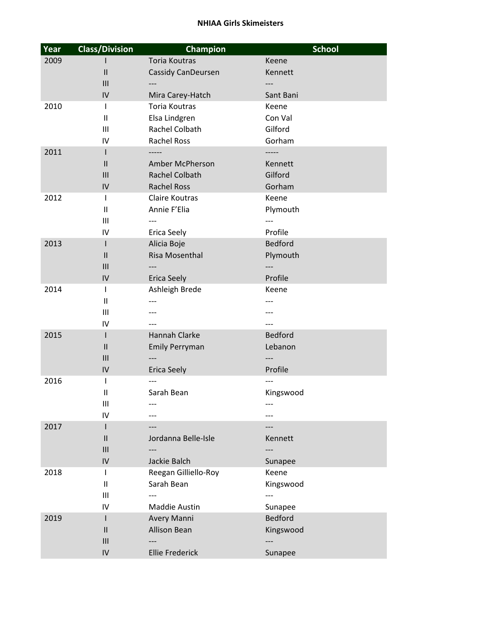| Year | <b>Class/Division</b>             | Champion                  | <b>School</b>  |
|------|-----------------------------------|---------------------------|----------------|
| 2009 |                                   | <b>Toria Koutras</b>      | Keene          |
|      | $\mathsf{II}$                     | <b>Cassidy CanDeursen</b> | Kennett        |
|      | III                               |                           |                |
|      | IV                                | Mira Carey-Hatch          | Sant Bani      |
| 2010 | $\mathsf{I}$                      | <b>Toria Koutras</b>      | Keene          |
|      | $\sf II$                          | Elsa Lindgren             | Con Val        |
|      | $\mathbf{III}$                    | Rachel Colbath            | Gilford        |
|      | IV                                | <b>Rachel Ross</b>        | Gorham         |
| 2011 | L                                 | -----                     | -----          |
|      | $\mathbf{II}$                     | Amber McPherson           | Kennett        |
|      | III                               | Rachel Colbath            | Gilford        |
|      | IV                                | <b>Rachel Ross</b>        | Gorham         |
| 2012 | L                                 | <b>Claire Koutras</b>     | Keene          |
|      | Ш                                 | Annie F'Elia              | Plymouth       |
|      | III                               | ---                       |                |
|      | IV                                | <b>Erica Seely</b>        | Profile        |
| 2013 | L                                 | Alicia Boje               | <b>Bedford</b> |
|      | $\ensuremath{\mathsf{II}}$<br>III | Risa Mosenthal            | Plymouth       |
|      | IV                                | <b>Erica Seely</b>        | Profile        |
| 2014 | $\mathsf{I}$                      | Ashleigh Brede            | Keene          |
|      | $\mathbf{I}$                      |                           |                |
|      | III                               |                           |                |
|      | IV                                |                           |                |
| 2015 | L                                 | Hannah Clarke             | <b>Bedford</b> |
|      | Ш                                 | <b>Emily Perryman</b>     | Lebanon        |
|      | III                               |                           |                |
|      | IV                                | <b>Erica Seely</b>        | Profile        |
| 2016 | I                                 |                           |                |
|      | Ш                                 | Sarah Bean                | Kingswood      |
|      | $\mathbf{III}$                    |                           |                |
|      | IV                                |                           |                |
| 2017 | L                                 |                           |                |
|      | $\ensuremath{\mathsf{II}}$        | Jordanna Belle-Isle       | Kennett        |
|      | III                               |                           |                |
|      | IV                                | Jackie Balch              | Sunapee        |
| 2018 | L                                 | Reegan Gilliello-Roy      | Keene          |
|      | $\ensuremath{\mathsf{II}}$        | Sarah Bean                | Kingswood      |
|      | $\mathbf{III}$                    |                           |                |
|      | IV                                | Maddie Austin             | Sunapee        |
| 2019 | L                                 | Avery Manni               | <b>Bedford</b> |
|      | $\mathsf{II}$                     | Allison Bean              | Kingswood      |
|      | Ш                                 |                           |                |
|      | IV                                | <b>Ellie Frederick</b>    | Sunapee        |